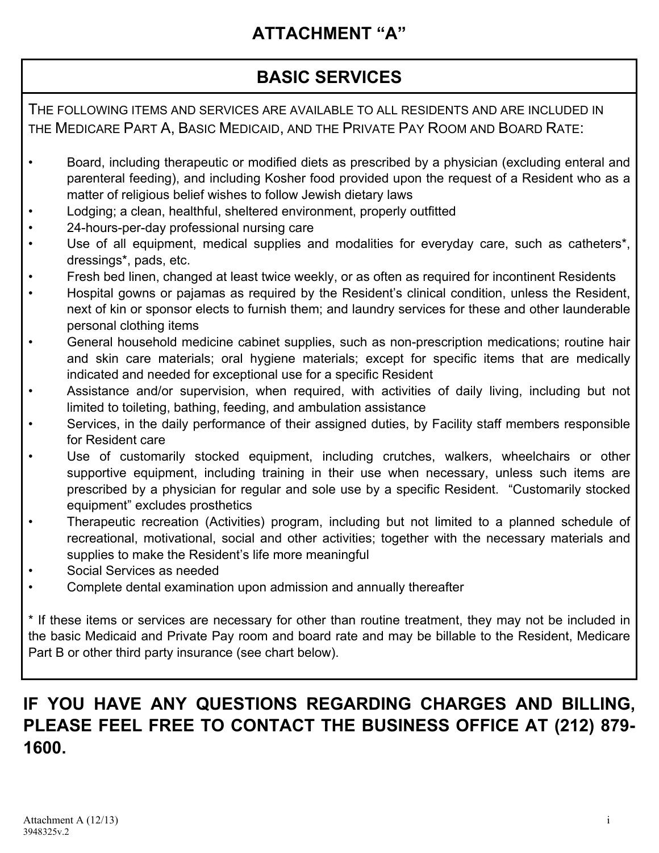# **ATTACHMENT "A"**

# **BASIC SERVICES**

THE FOLLOWING ITEMS AND SERVICES ARE AVAILABLE TO ALL RESIDENTS AND ARE INCLUDED IN THE MEDICARE PART A, BASIC MEDICAID, AND THE PRIVATE PAY ROOM AND BOARD RATE:

- Board, including therapeutic or modified diets as prescribed by a physician (excluding enteral and parenteral feeding), and including Kosher food provided upon the request of a Resident who as a matter of religious belief wishes to follow Jewish dietary laws
- Lodging; a clean, healthful, sheltered environment, properly outfitted
- 24-hours-per-day professional nursing care
- Use of all equipment, medical supplies and modalities for everyday care, such as catheters\*, dressings\*, pads, etc.
- Fresh bed linen, changed at least twice weekly, or as often as required for incontinent Residents
- Hospital gowns or pajamas as required by the Resident's clinical condition, unless the Resident, next of kin or sponsor elects to furnish them; and laundry services for these and other launderable personal clothing items
- General household medicine cabinet supplies, such as non-prescription medications; routine hair and skin care materials; oral hygiene materials; except for specific items that are medically indicated and needed for exceptional use for a specific Resident
- Assistance and/or supervision, when required, with activities of daily living, including but not limited to toileting, bathing, feeding, and ambulation assistance
- Services, in the daily performance of their assigned duties, by Facility staff members responsible for Resident care
- Use of customarily stocked equipment, including crutches, walkers, wheelchairs or other supportive equipment, including training in their use when necessary, unless such items are prescribed by a physician for regular and sole use by a specific Resident. "Customarily stocked equipment" excludes prosthetics
- Therapeutic recreation (Activities) program, including but not limited to a planned schedule of recreational, motivational, social and other activities; together with the necessary materials and supplies to make the Resident's life more meaningful
- Social Services as needed
- Complete dental examination upon admission and annually thereafter

\* If these items or services are necessary for other than routine treatment, they may not be included in the basic Medicaid and Private Pay room and board rate and may be billable to the Resident, Medicare Part B or other third party insurance (see chart below).

# **IF YOU HAVE ANY QUESTIONS REGARDING CHARGES AND BILLING, PLEASE FEEL FREE TO CONTACT THE BUSINESS OFFICE AT (212) 879- 1600.**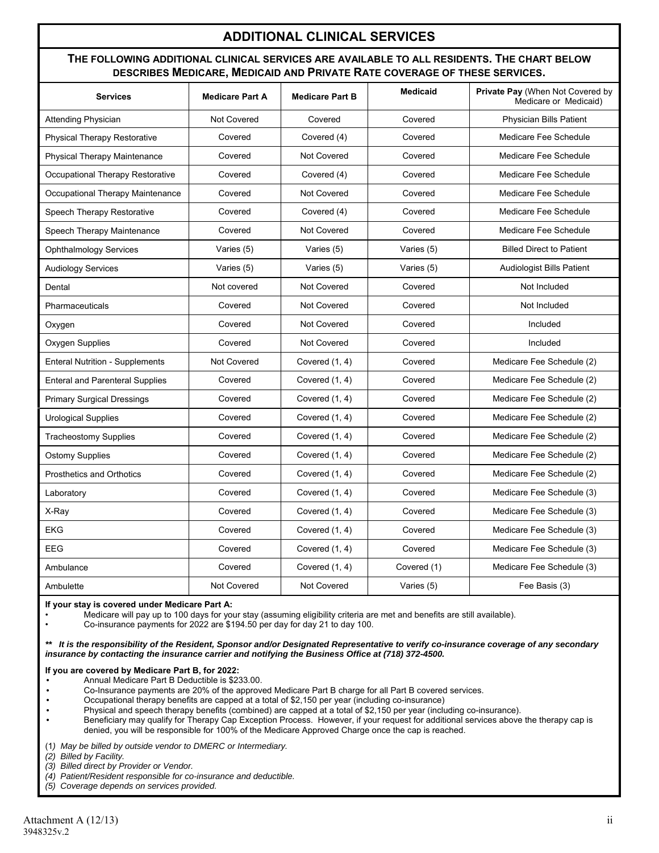## **ADDITIONAL CLINICAL SERVICES**

#### **THE FOLLOWING ADDITIONAL CLINICAL SERVICES ARE AVAILABLE TO ALL RESIDENTS. THE CHART BELOW DESCRIBES MEDICARE, MEDICAID AND PRIVATE RATE COVERAGE OF THESE SERVICES.**

| <b>Services</b>                        | <b>Medicare Part A</b> | <b>Medicare Part B</b> | <b>Medicaid</b> | Private Pay (When Not Covered by<br>Medicare or Medicaid) |
|----------------------------------------|------------------------|------------------------|-----------------|-----------------------------------------------------------|
| <b>Attending Physician</b>             | Not Covered            | Covered                | Covered         | Physician Bills Patient                                   |
| Physical Therapy Restorative           | Covered                | Covered (4)            | Covered         | Medicare Fee Schedule                                     |
| Physical Therapy Maintenance           | Covered                | <b>Not Covered</b>     | Covered         | Medicare Fee Schedule                                     |
| Occupational Therapy Restorative       | Covered                | Covered (4)            | Covered         | Medicare Fee Schedule                                     |
| Occupational Therapy Maintenance       | Covered                | <b>Not Covered</b>     | Covered         | Medicare Fee Schedule                                     |
| Speech Therapy Restorative             | Covered                | Covered (4)            | Covered         | Medicare Fee Schedule                                     |
| Speech Therapy Maintenance             | Covered                | Not Covered            | Covered         | Medicare Fee Schedule                                     |
| <b>Ophthalmology Services</b>          | Varies (5)             | Varies (5)             | Varies (5)      | <b>Billed Direct to Patient</b>                           |
| <b>Audiology Services</b>              | Varies (5)             | Varies (5)             | Varies (5)      | <b>Audiologist Bills Patient</b>                          |
| Dental                                 | Not covered            | <b>Not Covered</b>     | Covered         | Not Included                                              |
| Pharmaceuticals                        | Covered                | <b>Not Covered</b>     | Covered         | Not Included                                              |
| Oxygen                                 | Covered                | Not Covered            | Covered         | Included                                                  |
| Oxygen Supplies                        | Covered                | Not Covered            | Covered         | Included                                                  |
| <b>Enteral Nutrition - Supplements</b> | <b>Not Covered</b>     | Covered (1, 4)         | Covered         | Medicare Fee Schedule (2)                                 |
| <b>Enteral and Parenteral Supplies</b> | Covered                | Covered (1, 4)         | Covered         | Medicare Fee Schedule (2)                                 |
| <b>Primary Surgical Dressings</b>      | Covered                | Covered (1, 4)         | Covered         | Medicare Fee Schedule (2)                                 |
| <b>Urological Supplies</b>             | Covered                | Covered (1, 4)         | Covered         | Medicare Fee Schedule (2)                                 |
| <b>Tracheostomy Supplies</b>           | Covered                | Covered (1, 4)         | Covered         | Medicare Fee Schedule (2)                                 |
| <b>Ostomy Supplies</b>                 | Covered                | Covered (1, 4)         | Covered         | Medicare Fee Schedule (2)                                 |
| <b>Prosthetics and Orthotics</b>       | Covered                | Covered (1, 4)         | Covered         | Medicare Fee Schedule (2)                                 |
| Laboratory                             | Covered                | Covered (1, 4)         | Covered         | Medicare Fee Schedule (3)                                 |
| X-Ray                                  | Covered                | Covered (1, 4)         | Covered         | Medicare Fee Schedule (3)                                 |
| <b>EKG</b>                             | Covered                | Covered (1, 4)         | Covered         | Medicare Fee Schedule (3)                                 |
| <b>EEG</b>                             | Covered                | Covered (1, 4)         | Covered         | Medicare Fee Schedule (3)                                 |
| Ambulance                              | Covered                | Covered (1, 4)         | Covered (1)     | Medicare Fee Schedule (3)                                 |
| Ambulette                              | <b>Not Covered</b>     | <b>Not Covered</b>     | Varies (5)      | Fee Basis (3)                                             |

**If your stay is covered under Medicare Part A:**

• Medicare will pay up to 100 days for your stay (assuming eligibility criteria are met and benefits are still available).

• Co-insurance payments for 2022 are \$194.50 per day for day 21 to day 100.

*\*\* It is the responsibility of the Resident, Sponsor and/or Designated Representative to verify co-insurance coverage of any secondary insurance by contacting the insurance carrier and notifying the Business Office at (718) 372-4500.* 

#### **If you are covered by Medicare Part B, for 2022:**

- Annual Medicare Part B Deductible is \$233.00.
- Co-Insurance payments are 20% of the approved Medicare Part B charge for all Part B covered services.
- Occupational therapy benefits are capped at a total of \$2,150 per year (including co-insurance)
- Physical and speech therapy benefits (combined) are capped at a total of \$2,150 per year (including co-insurance).
- Beneficiary may qualify for Therapy Cap Exception Process. However, if your request for additional services above the therapy cap is denied, you will be responsible for 100% of the Medicare Approved Charge once the cap is reached.

(1*) May be billed by outside vendor to DMERC or Intermediary.* 

*(2) Billed by Facility.* 

*(3) Billed direct by Provider or Vendor.* 

*(4) Patient/Resident responsible for co-insurance and deductible.* 

*(5) Coverage depends on services provided.*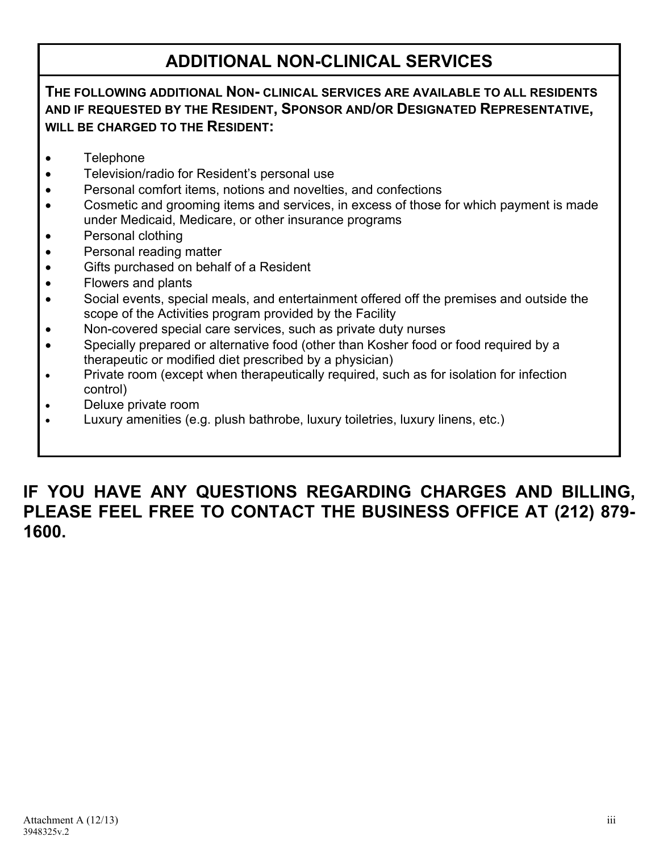# **ADDITIONAL NON-CLINICAL SERVICES**

## **THE FOLLOWING ADDITIONAL NON- CLINICAL SERVICES ARE AVAILABLE TO ALL RESIDENTS AND IF REQUESTED BY THE RESIDENT, SPONSOR AND/OR DESIGNATED REPRESENTATIVE, WILL BE CHARGED TO THE RESIDENT:**

- Telephone
- Television/radio for Resident's personal use
- Personal comfort items, notions and novelties, and confections
- Cosmetic and grooming items and services, in excess of those for which payment is made under Medicaid, Medicare, or other insurance programs
- Personal clothing
- Personal reading matter
- Gifts purchased on behalf of a Resident
- Flowers and plants
- Social events, special meals, and entertainment offered off the premises and outside the scope of the Activities program provided by the Facility
- Non-covered special care services, such as private duty nurses
- Specially prepared or alternative food (other than Kosher food or food required by a therapeutic or modified diet prescribed by a physician)
- Private room (except when therapeutically required, such as for isolation for infection control)
- Deluxe private room
- Luxury amenities (e.g. plush bathrobe, luxury toiletries, luxury linens, etc.)

# **IF YOU HAVE ANY QUESTIONS REGARDING CHARGES AND BILLING, PLEASE FEEL FREE TO CONTACT THE BUSINESS OFFICE AT (212) 879- 1600.**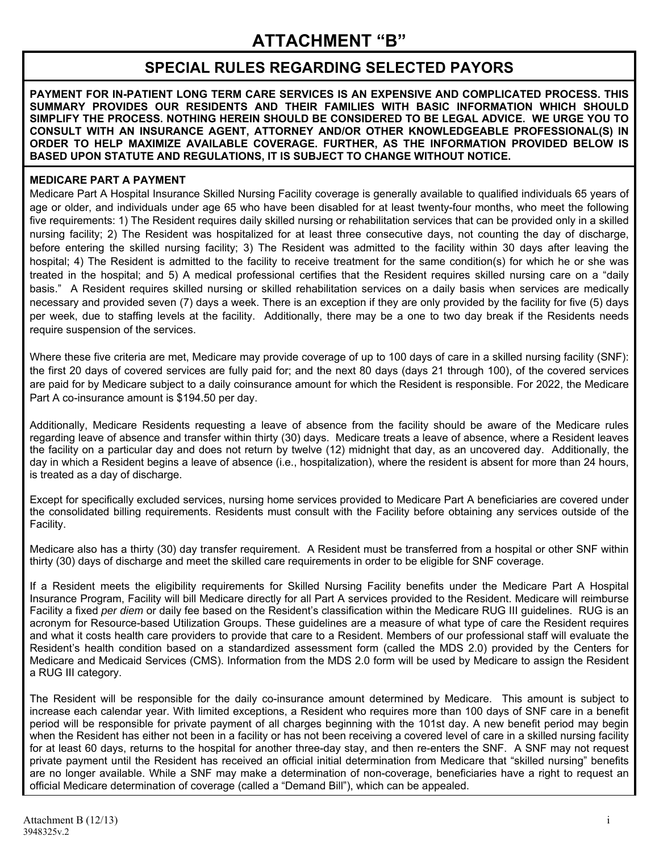# **SPECIAL RULES REGARDING SELECTED PAYORS**

**PAYMENT FOR IN-PATIENT LONG TERM CARE SERVICES IS AN EXPENSIVE AND COMPLICATED PROCESS. THIS SUMMARY PROVIDES OUR RESIDENTS AND THEIR FAMILIES WITH BASIC INFORMATION WHICH SHOULD SIMPLIFY THE PROCESS. NOTHING HEREIN SHOULD BE CONSIDERED TO BE LEGAL ADVICE. WE URGE YOU TO CONSULT WITH AN INSURANCE AGENT, ATTORNEY AND/OR OTHER KNOWLEDGEABLE PROFESSIONAL(S) IN ORDER TO HELP MAXIMIZE AVAILABLE COVERAGE. FURTHER, AS THE INFORMATION PROVIDED BELOW IS BASED UPON STATUTE AND REGULATIONS, IT IS SUBJECT TO CHANGE WITHOUT NOTICE.**

## **MEDICARE PART A PAYMENT**

Medicare Part A Hospital Insurance Skilled Nursing Facility coverage is generally available to qualified individuals 65 years of age or older, and individuals under age 65 who have been disabled for at least twenty-four months, who meet the following five requirements: 1) The Resident requires daily skilled nursing or rehabilitation services that can be provided only in a skilled nursing facility; 2) The Resident was hospitalized for at least three consecutive days, not counting the day of discharge, before entering the skilled nursing facility; 3) The Resident was admitted to the facility within 30 days after leaving the hospital; 4) The Resident is admitted to the facility to receive treatment for the same condition(s) for which he or she was treated in the hospital; and 5) A medical professional certifies that the Resident requires skilled nursing care on a "daily basis." A Resident requires skilled nursing or skilled rehabilitation services on a daily basis when services are medically necessary and provided seven (7) days a week. There is an exception if they are only provided by the facility for five (5) days per week, due to staffing levels at the facility. Additionally, there may be a one to two day break if the Residents needs require suspension of the services.

Where these five criteria are met, Medicare may provide coverage of up to 100 days of care in a skilled nursing facility (SNF): the first 20 days of covered services are fully paid for; and the next 80 days (days 21 through 100), of the covered services are paid for by Medicare subject to a daily coinsurance amount for which the Resident is responsible. For 2022, the Medicare Part A co-insurance amount is \$194.50 per day.

Additionally, Medicare Residents requesting a leave of absence from the facility should be aware of the Medicare rules regarding leave of absence and transfer within thirty (30) days. Medicare treats a leave of absence, where a Resident leaves the facility on a particular day and does not return by twelve (12) midnight that day, as an uncovered day. Additionally, the day in which a Resident begins a leave of absence (i.e., hospitalization), where the resident is absent for more than 24 hours, is treated as a day of discharge.

Except for specifically excluded services, nursing home services provided to Medicare Part A beneficiaries are covered under the consolidated billing requirements. Residents must consult with the Facility before obtaining any services outside of the Facility.

Medicare also has a thirty (30) day transfer requirement. A Resident must be transferred from a hospital or other SNF within thirty (30) days of discharge and meet the skilled care requirements in order to be eligible for SNF coverage.

If a Resident meets the eligibility requirements for Skilled Nursing Facility benefits under the Medicare Part A Hospital Insurance Program, Facility will bill Medicare directly for all Part A services provided to the Resident. Medicare will reimburse Facility a fixed *per diem* or daily fee based on the Resident's classification within the Medicare RUG III guidelines. RUG is an acronym for Resource-based Utilization Groups. These guidelines are a measure of what type of care the Resident requires and what it costs health care providers to provide that care to a Resident. Members of our professional staff will evaluate the Resident's health condition based on a standardized assessment form (called the MDS 2.0) provided by the Centers for Medicare and Medicaid Services (CMS). Information from the MDS 2.0 form will be used by Medicare to assign the Resident a RUG III category.

The Resident will be responsible for the daily co-insurance amount determined by Medicare. This amount is subject to increase each calendar year. With limited exceptions, a Resident who requires more than 100 days of SNF care in a benefit period will be responsible for private payment of all charges beginning with the 101st day. A new benefit period may begin when the Resident has either not been in a facility or has not been receiving a covered level of care in a skilled nursing facility for at least 60 days, returns to the hospital for another three-day stay, and then re-enters the SNF. A SNF may not request private payment until the Resident has received an official initial determination from Medicare that "skilled nursing" benefits are no longer available. While a SNF may make a determination of non-coverage, beneficiaries have a right to request an official Medicare determination of coverage (called a "Demand Bill"), which can be appealed.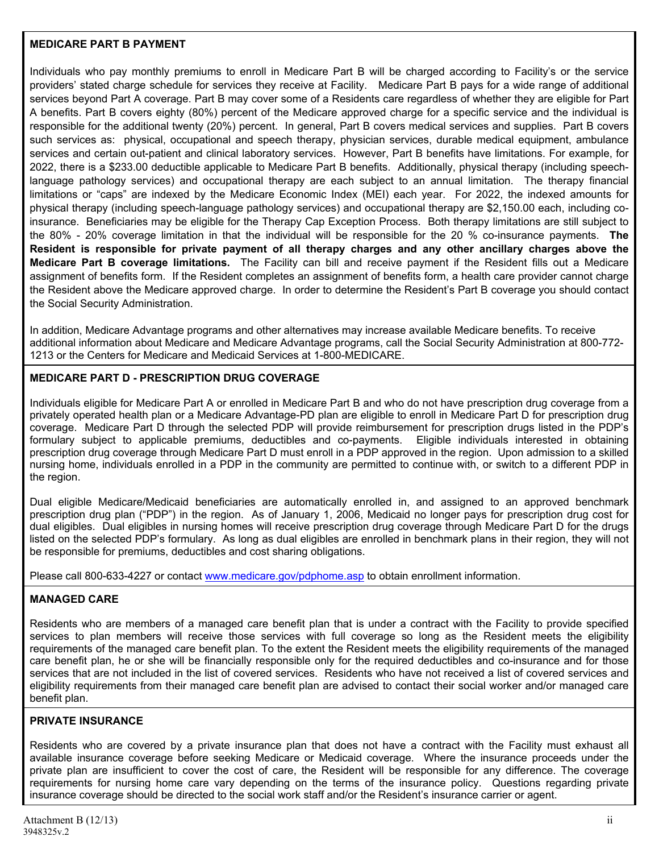#### **MEDICARE PART B PAYMENT**

Individuals who pay monthly premiums to enroll in Medicare Part B will be charged according to Facility's or the service providers' stated charge schedule for services they receive at Facility. Medicare Part B pays for a wide range of additional services beyond Part A coverage. Part B may cover some of a Residents care regardless of whether they are eligible for Part A benefits. Part B covers eighty (80%) percent of the Medicare approved charge for a specific service and the individual is responsible for the additional twenty (20%) percent. In general, Part B covers medical services and supplies. Part B covers such services as: physical, occupational and speech therapy, physician services, durable medical equipment, ambulance services and certain out-patient and clinical laboratory services. However, Part B benefits have limitations. For example, for 2022, there is a \$233.00 deductible applicable to Medicare Part B benefits. Additionally, physical therapy (including speechlanguage pathology services) and occupational therapy are each subject to an annual limitation. The therapy financial limitations or "caps" are indexed by the Medicare Economic Index (MEI) each year. For 2022, the indexed amounts for physical therapy (including speech-language pathology services) and occupational therapy are \$2,150.00 each, including coinsurance. Beneficiaries may be eligible for the Therapy Cap Exception Process. Both therapy limitations are still subject to the 80% - 20% coverage limitation in that the individual will be responsible for the 20 % co-insurance payments. **The Resident is responsible for private payment of all therapy charges and any other ancillary charges above the Medicare Part B coverage limitations.** The Facility can bill and receive payment if the Resident fills out a Medicare assignment of benefits form. If the Resident completes an assignment of benefits form, a health care provider cannot charge the Resident above the Medicare approved charge. In order to determine the Resident's Part B coverage you should contact the Social Security Administration.

In addition, Medicare Advantage programs and other alternatives may increase available Medicare benefits. To receive additional information about Medicare and Medicare Advantage programs, call the Social Security Administration at 800-772- 1213 or the Centers for Medicare and Medicaid Services at 1-800-MEDICARE.

### **MEDICARE PART D - PRESCRIPTION DRUG COVERAGE**

Individuals eligible for Medicare Part A or enrolled in Medicare Part B and who do not have prescription drug coverage from a privately operated health plan or a Medicare Advantage-PD plan are eligible to enroll in Medicare Part D for prescription drug coverage. Medicare Part D through the selected PDP will provide reimbursement for prescription drugs listed in the PDP's formulary subject to applicable premiums, deductibles and co-payments. Eligible individuals interested in obtaining prescription drug coverage through Medicare Part D must enroll in a PDP approved in the region. Upon admission to a skilled nursing home, individuals enrolled in a PDP in the community are permitted to continue with, or switch to a different PDP in the region.

Dual eligible Medicare/Medicaid beneficiaries are automatically enrolled in, and assigned to an approved benchmark prescription drug plan ("PDP") in the region. As of January 1, 2006, Medicaid no longer pays for prescription drug cost for dual eligibles. Dual eligibles in nursing homes will receive prescription drug coverage through Medicare Part D for the drugs listed on the selected PDP's formulary. As long as dual eligibles are enrolled in benchmark plans in their region, they will not be responsible for premiums, deductibles and cost sharing obligations.

Please call 800-633-4227 or contact www.medicare.gov/pdphome.asp to obtain enrollment information.

## **MANAGED CARE**

Residents who are members of a managed care benefit plan that is under a contract with the Facility to provide specified services to plan members will receive those services with full coverage so long as the Resident meets the eligibility requirements of the managed care benefit plan. To the extent the Resident meets the eligibility requirements of the managed care benefit plan, he or she will be financially responsible only for the required deductibles and co-insurance and for those services that are not included in the list of covered services. Residents who have not received a list of covered services and eligibility requirements from their managed care benefit plan are advised to contact their social worker and/or managed care benefit plan.

#### **PRIVATE INSURANCE**

Residents who are covered by a private insurance plan that does not have a contract with the Facility must exhaust all available insurance coverage before seeking Medicare or Medicaid coverage. Where the insurance proceeds under the private plan are insufficient to cover the cost of care, the Resident will be responsible for any difference. The coverage requirements for nursing home care vary depending on the terms of the insurance policy. Questions regarding private insurance coverage should be directed to the social work staff and/or the Resident's insurance carrier or agent.